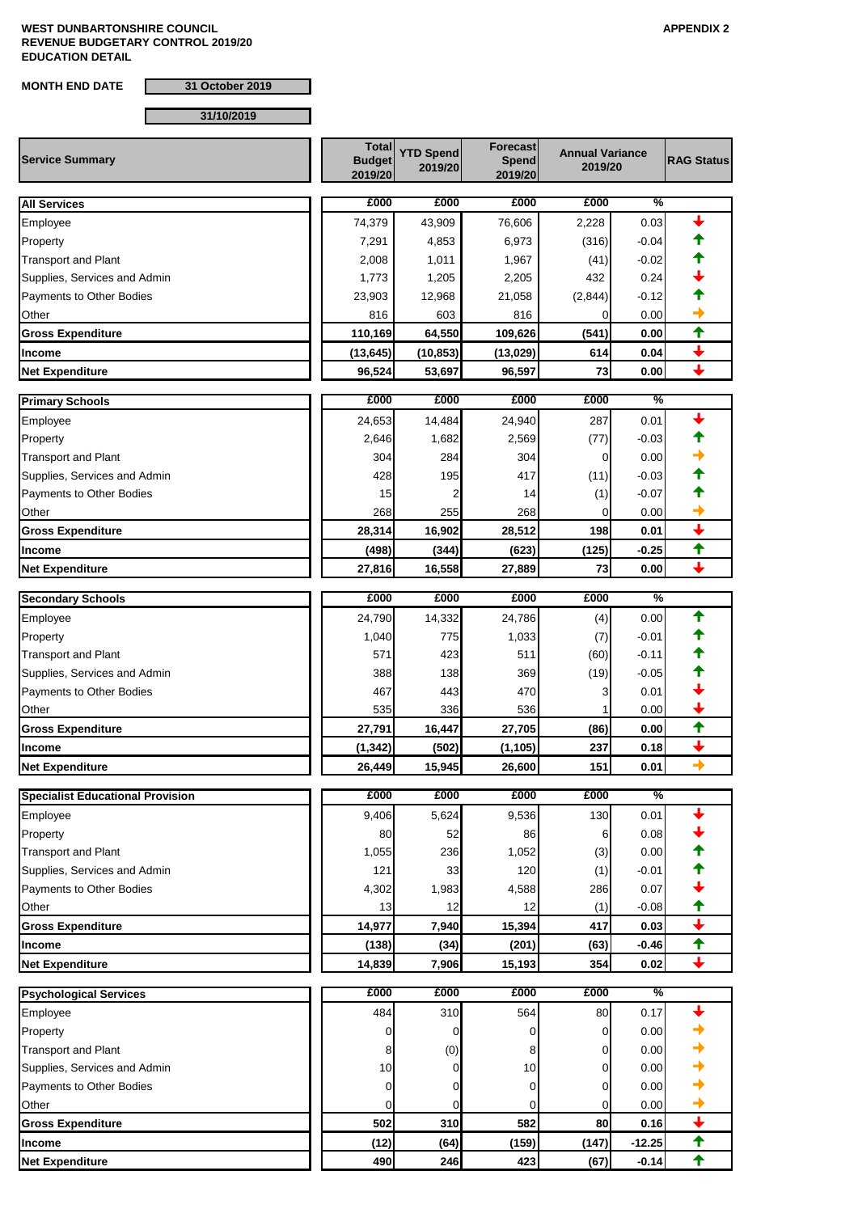**MONTH END DATE 31 October 2019**

## **31/10/2019**

| £000<br>%<br>£000<br>£000<br>£000<br><b>All Services</b><br>0.03<br>74,379<br>43,909<br>76,606<br>2,228<br>Employee<br>7,291<br>(316)<br>$-0.04$<br>4,853<br>6,973<br>Property<br>2,008<br>1,011<br>(41)<br>$-0.02$<br><b>Transport and Plant</b><br>1,967<br>1,205<br>432<br>0.24<br>Supplies, Services and Admin<br>1,773<br>2,205<br>23,903<br>(2,844)<br>Payments to Other Bodies<br>12,968<br>21,058<br>$-0.12$<br>Other<br>816<br>603<br>816<br>0.00<br>0<br>✦<br>64,550<br>0.00<br>110,169<br>109,626<br>(541)<br><b>Gross Expenditure</b><br>$\ddot{\phantom{0}}$<br>(13, 645)<br>614<br>0.04<br>(10, 853)<br>(13,029)<br>Income<br>$\ddot{\phantom{0}}$<br>73<br>0.00<br>96,524<br>53,697<br>96,597<br><b>Net Expenditure</b><br>£000<br>£000<br>£000<br>£000<br>%<br><b>Primary Schools</b><br>24,653<br>14,484<br>24,940<br>287<br>0.01<br>Employee<br>2,646<br>1,682<br>2,569<br>(77)<br>$-0.03$<br>Property<br>304<br>284<br>304<br>0.00<br><b>Transport and Plant</b><br>0<br>Supplies, Services and Admin<br>428<br>195<br>417<br>(11)<br>$-0.03$<br>Payments to Other Bodies<br>15<br>$-0.07$<br>2<br>14<br>(1)<br>Other<br>268<br>255<br>268<br>0.00<br>$\mathbf 0$<br>$\overline{\mathbf{t}}$<br>28,314<br>16,902<br>198<br>0.01<br><b>Gross Expenditure</b><br>28,512<br>✦<br>(498)<br>(623)<br>(125)<br>$-0.25$<br>(344)<br>Income<br>73<br>$0.00\,$<br>27,816<br>16,558<br>27,889<br><b>Net Expenditure</b><br>£000<br>£000<br>£000<br>£000<br>%<br><b>Secondary Schools</b><br>✦<br>24,790<br>0.00<br>14,332<br>24,786<br>(4)<br>1,040<br>775<br>1,033<br>(7)<br>$-0.01$<br>Property<br>571<br>423<br>511<br>(60)<br><b>Transport and Plant</b><br>$-0.11$<br>Supplies, Services and Admin<br>388<br>138<br>369<br>(19)<br>$-0.05$<br>467<br>443<br>470<br>0.01<br>Payments to Other Bodies<br>3<br>Other<br>535<br>336<br>536<br>0.00<br>✦<br>(86)<br>0.00<br>27,791<br>16,447<br>27,705<br>Gross Expenditure<br>$\overline{\phantom{a}}$<br>(1, 342)<br>(502)<br>(1, 105)<br>237<br>0.18<br>Income<br>$\rightarrow$<br><b>Net Expenditure</b><br>26,449<br>15,945<br>26,600<br>151<br>0.01<br>£000<br>£000<br>£000<br>£000<br>%<br><b>Specialist Educational Provision</b><br>9,406<br>130<br>0.01<br>Employee<br>5,624<br>9,536<br>Property<br>80<br>52<br>86<br>0.08<br>6<br>1,055<br>236<br>1,052<br>0.00<br><b>Transport and Plant</b><br>(3)<br>Supplies, Services and Admin<br>121<br>33<br>120<br>(1)<br>$-0.01$<br>4,302<br>Payments to Other Bodies<br>1,983<br>4,588<br>286<br>0.07<br>Other<br>13<br>12<br>(1)<br>$-0.08$<br>12<br>$\overline{\mathbf{t}}$<br><b>Gross Expenditure</b><br>14,977<br>7,940<br>15,394<br>417<br>0.03<br>✦<br>(138)<br>(34)<br>(63)<br>$-0.46$<br>Income<br>(201)<br>$\overline{\phantom{a}}$<br>354<br><b>Net Expenditure</b><br>14,839<br>7,906<br>15,193<br>0.02<br>£000<br>£000<br>£000<br>£000<br>%<br><b>Psychological Services</b><br>484<br>310<br>564<br>80<br>0.17<br>Employee<br>Property<br>0.00<br>0<br>0<br>0<br>0<br><b>Transport and Plant</b><br>(0)<br>0.00<br>8<br>8<br>0<br>Supplies, Services and Admin<br>10<br>10<br>0.00<br>$\Omega$<br>0<br>0.00<br>Payments to Other Bodies<br>$\mathbf 0$<br>0<br>0<br>0<br>Other<br>0.00<br>0<br>0<br>0<br>0<br>$\ddotmark$<br>502<br>310<br>582<br>80<br><b>Gross Expenditure</b><br>0.16<br>$\ddagger$<br>(12)<br>(64)<br>(159)<br>(147)<br>$-12.25$<br>Income<br>✦<br>490<br>423<br>246<br>(67)<br>$-0.14$ | <b>Service Summary</b> | <b>Total</b><br><b>Budget</b><br>2019/20 | <b>YTD Spend</b><br>2019/20 | <b>Forecast</b><br><b>Spend</b><br>2019/20 | <b>Annual Variance</b><br>2019/20 |  |
|-------------------------------------------------------------------------------------------------------------------------------------------------------------------------------------------------------------------------------------------------------------------------------------------------------------------------------------------------------------------------------------------------------------------------------------------------------------------------------------------------------------------------------------------------------------------------------------------------------------------------------------------------------------------------------------------------------------------------------------------------------------------------------------------------------------------------------------------------------------------------------------------------------------------------------------------------------------------------------------------------------------------------------------------------------------------------------------------------------------------------------------------------------------------------------------------------------------------------------------------------------------------------------------------------------------------------------------------------------------------------------------------------------------------------------------------------------------------------------------------------------------------------------------------------------------------------------------------------------------------------------------------------------------------------------------------------------------------------------------------------------------------------------------------------------------------------------------------------------------------------------------------------------------------------------------------------------------------------------------------------------------------------------------------------------------------------------------------------------------------------------------------------------------------------------------------------------------------------------------------------------------------------------------------------------------------------------------------------------------------------------------------------------------------------------------------------------------------------------------------------------------------------------------------------------------------------------------------------------------------------------------------------------------------------------------------------------------------------------------------------------------------------------------------------------------------------------------------------------------------------------------------------------------------------------------------------------------------------------------------------------------------------------------------------------------------------------------------------------------------------------------------------------------------------------------------------------------------------------------------------------------------------------------------------------------------------------------------------------------------------------------------------------------------------------------------|------------------------|------------------------------------------|-----------------------------|--------------------------------------------|-----------------------------------|--|
|                                                                                                                                                                                                                                                                                                                                                                                                                                                                                                                                                                                                                                                                                                                                                                                                                                                                                                                                                                                                                                                                                                                                                                                                                                                                                                                                                                                                                                                                                                                                                                                                                                                                                                                                                                                                                                                                                                                                                                                                                                                                                                                                                                                                                                                                                                                                                                                                                                                                                                                                                                                                                                                                                                                                                                                                                                                                                                                                                                                                                                                                                                                                                                                                                                                                                                                                                                                                                                           |                        |                                          |                             |                                            |                                   |  |
|                                                                                                                                                                                                                                                                                                                                                                                                                                                                                                                                                                                                                                                                                                                                                                                                                                                                                                                                                                                                                                                                                                                                                                                                                                                                                                                                                                                                                                                                                                                                                                                                                                                                                                                                                                                                                                                                                                                                                                                                                                                                                                                                                                                                                                                                                                                                                                                                                                                                                                                                                                                                                                                                                                                                                                                                                                                                                                                                                                                                                                                                                                                                                                                                                                                                                                                                                                                                                                           |                        |                                          |                             |                                            |                                   |  |
|                                                                                                                                                                                                                                                                                                                                                                                                                                                                                                                                                                                                                                                                                                                                                                                                                                                                                                                                                                                                                                                                                                                                                                                                                                                                                                                                                                                                                                                                                                                                                                                                                                                                                                                                                                                                                                                                                                                                                                                                                                                                                                                                                                                                                                                                                                                                                                                                                                                                                                                                                                                                                                                                                                                                                                                                                                                                                                                                                                                                                                                                                                                                                                                                                                                                                                                                                                                                                                           |                        |                                          |                             |                                            |                                   |  |
|                                                                                                                                                                                                                                                                                                                                                                                                                                                                                                                                                                                                                                                                                                                                                                                                                                                                                                                                                                                                                                                                                                                                                                                                                                                                                                                                                                                                                                                                                                                                                                                                                                                                                                                                                                                                                                                                                                                                                                                                                                                                                                                                                                                                                                                                                                                                                                                                                                                                                                                                                                                                                                                                                                                                                                                                                                                                                                                                                                                                                                                                                                                                                                                                                                                                                                                                                                                                                                           |                        |                                          |                             |                                            |                                   |  |
|                                                                                                                                                                                                                                                                                                                                                                                                                                                                                                                                                                                                                                                                                                                                                                                                                                                                                                                                                                                                                                                                                                                                                                                                                                                                                                                                                                                                                                                                                                                                                                                                                                                                                                                                                                                                                                                                                                                                                                                                                                                                                                                                                                                                                                                                                                                                                                                                                                                                                                                                                                                                                                                                                                                                                                                                                                                                                                                                                                                                                                                                                                                                                                                                                                                                                                                                                                                                                                           |                        |                                          |                             |                                            |                                   |  |
|                                                                                                                                                                                                                                                                                                                                                                                                                                                                                                                                                                                                                                                                                                                                                                                                                                                                                                                                                                                                                                                                                                                                                                                                                                                                                                                                                                                                                                                                                                                                                                                                                                                                                                                                                                                                                                                                                                                                                                                                                                                                                                                                                                                                                                                                                                                                                                                                                                                                                                                                                                                                                                                                                                                                                                                                                                                                                                                                                                                                                                                                                                                                                                                                                                                                                                                                                                                                                                           |                        |                                          |                             |                                            |                                   |  |
|                                                                                                                                                                                                                                                                                                                                                                                                                                                                                                                                                                                                                                                                                                                                                                                                                                                                                                                                                                                                                                                                                                                                                                                                                                                                                                                                                                                                                                                                                                                                                                                                                                                                                                                                                                                                                                                                                                                                                                                                                                                                                                                                                                                                                                                                                                                                                                                                                                                                                                                                                                                                                                                                                                                                                                                                                                                                                                                                                                                                                                                                                                                                                                                                                                                                                                                                                                                                                                           |                        |                                          |                             |                                            |                                   |  |
|                                                                                                                                                                                                                                                                                                                                                                                                                                                                                                                                                                                                                                                                                                                                                                                                                                                                                                                                                                                                                                                                                                                                                                                                                                                                                                                                                                                                                                                                                                                                                                                                                                                                                                                                                                                                                                                                                                                                                                                                                                                                                                                                                                                                                                                                                                                                                                                                                                                                                                                                                                                                                                                                                                                                                                                                                                                                                                                                                                                                                                                                                                                                                                                                                                                                                                                                                                                                                                           |                        |                                          |                             |                                            |                                   |  |
|                                                                                                                                                                                                                                                                                                                                                                                                                                                                                                                                                                                                                                                                                                                                                                                                                                                                                                                                                                                                                                                                                                                                                                                                                                                                                                                                                                                                                                                                                                                                                                                                                                                                                                                                                                                                                                                                                                                                                                                                                                                                                                                                                                                                                                                                                                                                                                                                                                                                                                                                                                                                                                                                                                                                                                                                                                                                                                                                                                                                                                                                                                                                                                                                                                                                                                                                                                                                                                           |                        |                                          |                             |                                            |                                   |  |
|                                                                                                                                                                                                                                                                                                                                                                                                                                                                                                                                                                                                                                                                                                                                                                                                                                                                                                                                                                                                                                                                                                                                                                                                                                                                                                                                                                                                                                                                                                                                                                                                                                                                                                                                                                                                                                                                                                                                                                                                                                                                                                                                                                                                                                                                                                                                                                                                                                                                                                                                                                                                                                                                                                                                                                                                                                                                                                                                                                                                                                                                                                                                                                                                                                                                                                                                                                                                                                           |                        |                                          |                             |                                            |                                   |  |
|                                                                                                                                                                                                                                                                                                                                                                                                                                                                                                                                                                                                                                                                                                                                                                                                                                                                                                                                                                                                                                                                                                                                                                                                                                                                                                                                                                                                                                                                                                                                                                                                                                                                                                                                                                                                                                                                                                                                                                                                                                                                                                                                                                                                                                                                                                                                                                                                                                                                                                                                                                                                                                                                                                                                                                                                                                                                                                                                                                                                                                                                                                                                                                                                                                                                                                                                                                                                                                           |                        |                                          |                             |                                            |                                   |  |
|                                                                                                                                                                                                                                                                                                                                                                                                                                                                                                                                                                                                                                                                                                                                                                                                                                                                                                                                                                                                                                                                                                                                                                                                                                                                                                                                                                                                                                                                                                                                                                                                                                                                                                                                                                                                                                                                                                                                                                                                                                                                                                                                                                                                                                                                                                                                                                                                                                                                                                                                                                                                                                                                                                                                                                                                                                                                                                                                                                                                                                                                                                                                                                                                                                                                                                                                                                                                                                           |                        |                                          |                             |                                            |                                   |  |
|                                                                                                                                                                                                                                                                                                                                                                                                                                                                                                                                                                                                                                                                                                                                                                                                                                                                                                                                                                                                                                                                                                                                                                                                                                                                                                                                                                                                                                                                                                                                                                                                                                                                                                                                                                                                                                                                                                                                                                                                                                                                                                                                                                                                                                                                                                                                                                                                                                                                                                                                                                                                                                                                                                                                                                                                                                                                                                                                                                                                                                                                                                                                                                                                                                                                                                                                                                                                                                           |                        |                                          |                             |                                            |                                   |  |
|                                                                                                                                                                                                                                                                                                                                                                                                                                                                                                                                                                                                                                                                                                                                                                                                                                                                                                                                                                                                                                                                                                                                                                                                                                                                                                                                                                                                                                                                                                                                                                                                                                                                                                                                                                                                                                                                                                                                                                                                                                                                                                                                                                                                                                                                                                                                                                                                                                                                                                                                                                                                                                                                                                                                                                                                                                                                                                                                                                                                                                                                                                                                                                                                                                                                                                                                                                                                                                           |                        |                                          |                             |                                            |                                   |  |
|                                                                                                                                                                                                                                                                                                                                                                                                                                                                                                                                                                                                                                                                                                                                                                                                                                                                                                                                                                                                                                                                                                                                                                                                                                                                                                                                                                                                                                                                                                                                                                                                                                                                                                                                                                                                                                                                                                                                                                                                                                                                                                                                                                                                                                                                                                                                                                                                                                                                                                                                                                                                                                                                                                                                                                                                                                                                                                                                                                                                                                                                                                                                                                                                                                                                                                                                                                                                                                           |                        |                                          |                             |                                            |                                   |  |
|                                                                                                                                                                                                                                                                                                                                                                                                                                                                                                                                                                                                                                                                                                                                                                                                                                                                                                                                                                                                                                                                                                                                                                                                                                                                                                                                                                                                                                                                                                                                                                                                                                                                                                                                                                                                                                                                                                                                                                                                                                                                                                                                                                                                                                                                                                                                                                                                                                                                                                                                                                                                                                                                                                                                                                                                                                                                                                                                                                                                                                                                                                                                                                                                                                                                                                                                                                                                                                           |                        |                                          |                             |                                            |                                   |  |
|                                                                                                                                                                                                                                                                                                                                                                                                                                                                                                                                                                                                                                                                                                                                                                                                                                                                                                                                                                                                                                                                                                                                                                                                                                                                                                                                                                                                                                                                                                                                                                                                                                                                                                                                                                                                                                                                                                                                                                                                                                                                                                                                                                                                                                                                                                                                                                                                                                                                                                                                                                                                                                                                                                                                                                                                                                                                                                                                                                                                                                                                                                                                                                                                                                                                                                                                                                                                                                           |                        |                                          |                             |                                            |                                   |  |
|                                                                                                                                                                                                                                                                                                                                                                                                                                                                                                                                                                                                                                                                                                                                                                                                                                                                                                                                                                                                                                                                                                                                                                                                                                                                                                                                                                                                                                                                                                                                                                                                                                                                                                                                                                                                                                                                                                                                                                                                                                                                                                                                                                                                                                                                                                                                                                                                                                                                                                                                                                                                                                                                                                                                                                                                                                                                                                                                                                                                                                                                                                                                                                                                                                                                                                                                                                                                                                           |                        |                                          |                             |                                            |                                   |  |
|                                                                                                                                                                                                                                                                                                                                                                                                                                                                                                                                                                                                                                                                                                                                                                                                                                                                                                                                                                                                                                                                                                                                                                                                                                                                                                                                                                                                                                                                                                                                                                                                                                                                                                                                                                                                                                                                                                                                                                                                                                                                                                                                                                                                                                                                                                                                                                                                                                                                                                                                                                                                                                                                                                                                                                                                                                                                                                                                                                                                                                                                                                                                                                                                                                                                                                                                                                                                                                           |                        |                                          |                             |                                            |                                   |  |
|                                                                                                                                                                                                                                                                                                                                                                                                                                                                                                                                                                                                                                                                                                                                                                                                                                                                                                                                                                                                                                                                                                                                                                                                                                                                                                                                                                                                                                                                                                                                                                                                                                                                                                                                                                                                                                                                                                                                                                                                                                                                                                                                                                                                                                                                                                                                                                                                                                                                                                                                                                                                                                                                                                                                                                                                                                                                                                                                                                                                                                                                                                                                                                                                                                                                                                                                                                                                                                           |                        |                                          |                             |                                            |                                   |  |
|                                                                                                                                                                                                                                                                                                                                                                                                                                                                                                                                                                                                                                                                                                                                                                                                                                                                                                                                                                                                                                                                                                                                                                                                                                                                                                                                                                                                                                                                                                                                                                                                                                                                                                                                                                                                                                                                                                                                                                                                                                                                                                                                                                                                                                                                                                                                                                                                                                                                                                                                                                                                                                                                                                                                                                                                                                                                                                                                                                                                                                                                                                                                                                                                                                                                                                                                                                                                                                           |                        |                                          |                             |                                            |                                   |  |
|                                                                                                                                                                                                                                                                                                                                                                                                                                                                                                                                                                                                                                                                                                                                                                                                                                                                                                                                                                                                                                                                                                                                                                                                                                                                                                                                                                                                                                                                                                                                                                                                                                                                                                                                                                                                                                                                                                                                                                                                                                                                                                                                                                                                                                                                                                                                                                                                                                                                                                                                                                                                                                                                                                                                                                                                                                                                                                                                                                                                                                                                                                                                                                                                                                                                                                                                                                                                                                           |                        |                                          |                             |                                            |                                   |  |
|                                                                                                                                                                                                                                                                                                                                                                                                                                                                                                                                                                                                                                                                                                                                                                                                                                                                                                                                                                                                                                                                                                                                                                                                                                                                                                                                                                                                                                                                                                                                                                                                                                                                                                                                                                                                                                                                                                                                                                                                                                                                                                                                                                                                                                                                                                                                                                                                                                                                                                                                                                                                                                                                                                                                                                                                                                                                                                                                                                                                                                                                                                                                                                                                                                                                                                                                                                                                                                           | Employee               |                                          |                             |                                            |                                   |  |
|                                                                                                                                                                                                                                                                                                                                                                                                                                                                                                                                                                                                                                                                                                                                                                                                                                                                                                                                                                                                                                                                                                                                                                                                                                                                                                                                                                                                                                                                                                                                                                                                                                                                                                                                                                                                                                                                                                                                                                                                                                                                                                                                                                                                                                                                                                                                                                                                                                                                                                                                                                                                                                                                                                                                                                                                                                                                                                                                                                                                                                                                                                                                                                                                                                                                                                                                                                                                                                           |                        |                                          |                             |                                            |                                   |  |
|                                                                                                                                                                                                                                                                                                                                                                                                                                                                                                                                                                                                                                                                                                                                                                                                                                                                                                                                                                                                                                                                                                                                                                                                                                                                                                                                                                                                                                                                                                                                                                                                                                                                                                                                                                                                                                                                                                                                                                                                                                                                                                                                                                                                                                                                                                                                                                                                                                                                                                                                                                                                                                                                                                                                                                                                                                                                                                                                                                                                                                                                                                                                                                                                                                                                                                                                                                                                                                           |                        |                                          |                             |                                            |                                   |  |
|                                                                                                                                                                                                                                                                                                                                                                                                                                                                                                                                                                                                                                                                                                                                                                                                                                                                                                                                                                                                                                                                                                                                                                                                                                                                                                                                                                                                                                                                                                                                                                                                                                                                                                                                                                                                                                                                                                                                                                                                                                                                                                                                                                                                                                                                                                                                                                                                                                                                                                                                                                                                                                                                                                                                                                                                                                                                                                                                                                                                                                                                                                                                                                                                                                                                                                                                                                                                                                           |                        |                                          |                             |                                            |                                   |  |
|                                                                                                                                                                                                                                                                                                                                                                                                                                                                                                                                                                                                                                                                                                                                                                                                                                                                                                                                                                                                                                                                                                                                                                                                                                                                                                                                                                                                                                                                                                                                                                                                                                                                                                                                                                                                                                                                                                                                                                                                                                                                                                                                                                                                                                                                                                                                                                                                                                                                                                                                                                                                                                                                                                                                                                                                                                                                                                                                                                                                                                                                                                                                                                                                                                                                                                                                                                                                                                           |                        |                                          |                             |                                            |                                   |  |
|                                                                                                                                                                                                                                                                                                                                                                                                                                                                                                                                                                                                                                                                                                                                                                                                                                                                                                                                                                                                                                                                                                                                                                                                                                                                                                                                                                                                                                                                                                                                                                                                                                                                                                                                                                                                                                                                                                                                                                                                                                                                                                                                                                                                                                                                                                                                                                                                                                                                                                                                                                                                                                                                                                                                                                                                                                                                                                                                                                                                                                                                                                                                                                                                                                                                                                                                                                                                                                           |                        |                                          |                             |                                            |                                   |  |
|                                                                                                                                                                                                                                                                                                                                                                                                                                                                                                                                                                                                                                                                                                                                                                                                                                                                                                                                                                                                                                                                                                                                                                                                                                                                                                                                                                                                                                                                                                                                                                                                                                                                                                                                                                                                                                                                                                                                                                                                                                                                                                                                                                                                                                                                                                                                                                                                                                                                                                                                                                                                                                                                                                                                                                                                                                                                                                                                                                                                                                                                                                                                                                                                                                                                                                                                                                                                                                           |                        |                                          |                             |                                            |                                   |  |
|                                                                                                                                                                                                                                                                                                                                                                                                                                                                                                                                                                                                                                                                                                                                                                                                                                                                                                                                                                                                                                                                                                                                                                                                                                                                                                                                                                                                                                                                                                                                                                                                                                                                                                                                                                                                                                                                                                                                                                                                                                                                                                                                                                                                                                                                                                                                                                                                                                                                                                                                                                                                                                                                                                                                                                                                                                                                                                                                                                                                                                                                                                                                                                                                                                                                                                                                                                                                                                           |                        |                                          |                             |                                            |                                   |  |
|                                                                                                                                                                                                                                                                                                                                                                                                                                                                                                                                                                                                                                                                                                                                                                                                                                                                                                                                                                                                                                                                                                                                                                                                                                                                                                                                                                                                                                                                                                                                                                                                                                                                                                                                                                                                                                                                                                                                                                                                                                                                                                                                                                                                                                                                                                                                                                                                                                                                                                                                                                                                                                                                                                                                                                                                                                                                                                                                                                                                                                                                                                                                                                                                                                                                                                                                                                                                                                           |                        |                                          |                             |                                            |                                   |  |
|                                                                                                                                                                                                                                                                                                                                                                                                                                                                                                                                                                                                                                                                                                                                                                                                                                                                                                                                                                                                                                                                                                                                                                                                                                                                                                                                                                                                                                                                                                                                                                                                                                                                                                                                                                                                                                                                                                                                                                                                                                                                                                                                                                                                                                                                                                                                                                                                                                                                                                                                                                                                                                                                                                                                                                                                                                                                                                                                                                                                                                                                                                                                                                                                                                                                                                                                                                                                                                           |                        |                                          |                             |                                            |                                   |  |
|                                                                                                                                                                                                                                                                                                                                                                                                                                                                                                                                                                                                                                                                                                                                                                                                                                                                                                                                                                                                                                                                                                                                                                                                                                                                                                                                                                                                                                                                                                                                                                                                                                                                                                                                                                                                                                                                                                                                                                                                                                                                                                                                                                                                                                                                                                                                                                                                                                                                                                                                                                                                                                                                                                                                                                                                                                                                                                                                                                                                                                                                                                                                                                                                                                                                                                                                                                                                                                           |                        |                                          |                             |                                            |                                   |  |
|                                                                                                                                                                                                                                                                                                                                                                                                                                                                                                                                                                                                                                                                                                                                                                                                                                                                                                                                                                                                                                                                                                                                                                                                                                                                                                                                                                                                                                                                                                                                                                                                                                                                                                                                                                                                                                                                                                                                                                                                                                                                                                                                                                                                                                                                                                                                                                                                                                                                                                                                                                                                                                                                                                                                                                                                                                                                                                                                                                                                                                                                                                                                                                                                                                                                                                                                                                                                                                           |                        |                                          |                             |                                            |                                   |  |
|                                                                                                                                                                                                                                                                                                                                                                                                                                                                                                                                                                                                                                                                                                                                                                                                                                                                                                                                                                                                                                                                                                                                                                                                                                                                                                                                                                                                                                                                                                                                                                                                                                                                                                                                                                                                                                                                                                                                                                                                                                                                                                                                                                                                                                                                                                                                                                                                                                                                                                                                                                                                                                                                                                                                                                                                                                                                                                                                                                                                                                                                                                                                                                                                                                                                                                                                                                                                                                           |                        |                                          |                             |                                            |                                   |  |
|                                                                                                                                                                                                                                                                                                                                                                                                                                                                                                                                                                                                                                                                                                                                                                                                                                                                                                                                                                                                                                                                                                                                                                                                                                                                                                                                                                                                                                                                                                                                                                                                                                                                                                                                                                                                                                                                                                                                                                                                                                                                                                                                                                                                                                                                                                                                                                                                                                                                                                                                                                                                                                                                                                                                                                                                                                                                                                                                                                                                                                                                                                                                                                                                                                                                                                                                                                                                                                           |                        |                                          |                             |                                            |                                   |  |
|                                                                                                                                                                                                                                                                                                                                                                                                                                                                                                                                                                                                                                                                                                                                                                                                                                                                                                                                                                                                                                                                                                                                                                                                                                                                                                                                                                                                                                                                                                                                                                                                                                                                                                                                                                                                                                                                                                                                                                                                                                                                                                                                                                                                                                                                                                                                                                                                                                                                                                                                                                                                                                                                                                                                                                                                                                                                                                                                                                                                                                                                                                                                                                                                                                                                                                                                                                                                                                           |                        |                                          |                             |                                            |                                   |  |
|                                                                                                                                                                                                                                                                                                                                                                                                                                                                                                                                                                                                                                                                                                                                                                                                                                                                                                                                                                                                                                                                                                                                                                                                                                                                                                                                                                                                                                                                                                                                                                                                                                                                                                                                                                                                                                                                                                                                                                                                                                                                                                                                                                                                                                                                                                                                                                                                                                                                                                                                                                                                                                                                                                                                                                                                                                                                                                                                                                                                                                                                                                                                                                                                                                                                                                                                                                                                                                           |                        |                                          |                             |                                            |                                   |  |
|                                                                                                                                                                                                                                                                                                                                                                                                                                                                                                                                                                                                                                                                                                                                                                                                                                                                                                                                                                                                                                                                                                                                                                                                                                                                                                                                                                                                                                                                                                                                                                                                                                                                                                                                                                                                                                                                                                                                                                                                                                                                                                                                                                                                                                                                                                                                                                                                                                                                                                                                                                                                                                                                                                                                                                                                                                                                                                                                                                                                                                                                                                                                                                                                                                                                                                                                                                                                                                           |                        |                                          |                             |                                            |                                   |  |
|                                                                                                                                                                                                                                                                                                                                                                                                                                                                                                                                                                                                                                                                                                                                                                                                                                                                                                                                                                                                                                                                                                                                                                                                                                                                                                                                                                                                                                                                                                                                                                                                                                                                                                                                                                                                                                                                                                                                                                                                                                                                                                                                                                                                                                                                                                                                                                                                                                                                                                                                                                                                                                                                                                                                                                                                                                                                                                                                                                                                                                                                                                                                                                                                                                                                                                                                                                                                                                           |                        |                                          |                             |                                            |                                   |  |
|                                                                                                                                                                                                                                                                                                                                                                                                                                                                                                                                                                                                                                                                                                                                                                                                                                                                                                                                                                                                                                                                                                                                                                                                                                                                                                                                                                                                                                                                                                                                                                                                                                                                                                                                                                                                                                                                                                                                                                                                                                                                                                                                                                                                                                                                                                                                                                                                                                                                                                                                                                                                                                                                                                                                                                                                                                                                                                                                                                                                                                                                                                                                                                                                                                                                                                                                                                                                                                           |                        |                                          |                             |                                            |                                   |  |
|                                                                                                                                                                                                                                                                                                                                                                                                                                                                                                                                                                                                                                                                                                                                                                                                                                                                                                                                                                                                                                                                                                                                                                                                                                                                                                                                                                                                                                                                                                                                                                                                                                                                                                                                                                                                                                                                                                                                                                                                                                                                                                                                                                                                                                                                                                                                                                                                                                                                                                                                                                                                                                                                                                                                                                                                                                                                                                                                                                                                                                                                                                                                                                                                                                                                                                                                                                                                                                           |                        |                                          |                             |                                            |                                   |  |
|                                                                                                                                                                                                                                                                                                                                                                                                                                                                                                                                                                                                                                                                                                                                                                                                                                                                                                                                                                                                                                                                                                                                                                                                                                                                                                                                                                                                                                                                                                                                                                                                                                                                                                                                                                                                                                                                                                                                                                                                                                                                                                                                                                                                                                                                                                                                                                                                                                                                                                                                                                                                                                                                                                                                                                                                                                                                                                                                                                                                                                                                                                                                                                                                                                                                                                                                                                                                                                           |                        |                                          |                             |                                            |                                   |  |
|                                                                                                                                                                                                                                                                                                                                                                                                                                                                                                                                                                                                                                                                                                                                                                                                                                                                                                                                                                                                                                                                                                                                                                                                                                                                                                                                                                                                                                                                                                                                                                                                                                                                                                                                                                                                                                                                                                                                                                                                                                                                                                                                                                                                                                                                                                                                                                                                                                                                                                                                                                                                                                                                                                                                                                                                                                                                                                                                                                                                                                                                                                                                                                                                                                                                                                                                                                                                                                           |                        |                                          |                             |                                            |                                   |  |
|                                                                                                                                                                                                                                                                                                                                                                                                                                                                                                                                                                                                                                                                                                                                                                                                                                                                                                                                                                                                                                                                                                                                                                                                                                                                                                                                                                                                                                                                                                                                                                                                                                                                                                                                                                                                                                                                                                                                                                                                                                                                                                                                                                                                                                                                                                                                                                                                                                                                                                                                                                                                                                                                                                                                                                                                                                                                                                                                                                                                                                                                                                                                                                                                                                                                                                                                                                                                                                           |                        |                                          |                             |                                            |                                   |  |
|                                                                                                                                                                                                                                                                                                                                                                                                                                                                                                                                                                                                                                                                                                                                                                                                                                                                                                                                                                                                                                                                                                                                                                                                                                                                                                                                                                                                                                                                                                                                                                                                                                                                                                                                                                                                                                                                                                                                                                                                                                                                                                                                                                                                                                                                                                                                                                                                                                                                                                                                                                                                                                                                                                                                                                                                                                                                                                                                                                                                                                                                                                                                                                                                                                                                                                                                                                                                                                           |                        |                                          |                             |                                            |                                   |  |
|                                                                                                                                                                                                                                                                                                                                                                                                                                                                                                                                                                                                                                                                                                                                                                                                                                                                                                                                                                                                                                                                                                                                                                                                                                                                                                                                                                                                                                                                                                                                                                                                                                                                                                                                                                                                                                                                                                                                                                                                                                                                                                                                                                                                                                                                                                                                                                                                                                                                                                                                                                                                                                                                                                                                                                                                                                                                                                                                                                                                                                                                                                                                                                                                                                                                                                                                                                                                                                           |                        |                                          |                             |                                            |                                   |  |
|                                                                                                                                                                                                                                                                                                                                                                                                                                                                                                                                                                                                                                                                                                                                                                                                                                                                                                                                                                                                                                                                                                                                                                                                                                                                                                                                                                                                                                                                                                                                                                                                                                                                                                                                                                                                                                                                                                                                                                                                                                                                                                                                                                                                                                                                                                                                                                                                                                                                                                                                                                                                                                                                                                                                                                                                                                                                                                                                                                                                                                                                                                                                                                                                                                                                                                                                                                                                                                           |                        |                                          |                             |                                            |                                   |  |
|                                                                                                                                                                                                                                                                                                                                                                                                                                                                                                                                                                                                                                                                                                                                                                                                                                                                                                                                                                                                                                                                                                                                                                                                                                                                                                                                                                                                                                                                                                                                                                                                                                                                                                                                                                                                                                                                                                                                                                                                                                                                                                                                                                                                                                                                                                                                                                                                                                                                                                                                                                                                                                                                                                                                                                                                                                                                                                                                                                                                                                                                                                                                                                                                                                                                                                                                                                                                                                           |                        |                                          |                             |                                            |                                   |  |
|                                                                                                                                                                                                                                                                                                                                                                                                                                                                                                                                                                                                                                                                                                                                                                                                                                                                                                                                                                                                                                                                                                                                                                                                                                                                                                                                                                                                                                                                                                                                                                                                                                                                                                                                                                                                                                                                                                                                                                                                                                                                                                                                                                                                                                                                                                                                                                                                                                                                                                                                                                                                                                                                                                                                                                                                                                                                                                                                                                                                                                                                                                                                                                                                                                                                                                                                                                                                                                           |                        |                                          |                             |                                            |                                   |  |
|                                                                                                                                                                                                                                                                                                                                                                                                                                                                                                                                                                                                                                                                                                                                                                                                                                                                                                                                                                                                                                                                                                                                                                                                                                                                                                                                                                                                                                                                                                                                                                                                                                                                                                                                                                                                                                                                                                                                                                                                                                                                                                                                                                                                                                                                                                                                                                                                                                                                                                                                                                                                                                                                                                                                                                                                                                                                                                                                                                                                                                                                                                                                                                                                                                                                                                                                                                                                                                           |                        |                                          |                             |                                            |                                   |  |
|                                                                                                                                                                                                                                                                                                                                                                                                                                                                                                                                                                                                                                                                                                                                                                                                                                                                                                                                                                                                                                                                                                                                                                                                                                                                                                                                                                                                                                                                                                                                                                                                                                                                                                                                                                                                                                                                                                                                                                                                                                                                                                                                                                                                                                                                                                                                                                                                                                                                                                                                                                                                                                                                                                                                                                                                                                                                                                                                                                                                                                                                                                                                                                                                                                                                                                                                                                                                                                           | <b>Net Expenditure</b> |                                          |                             |                                            |                                   |  |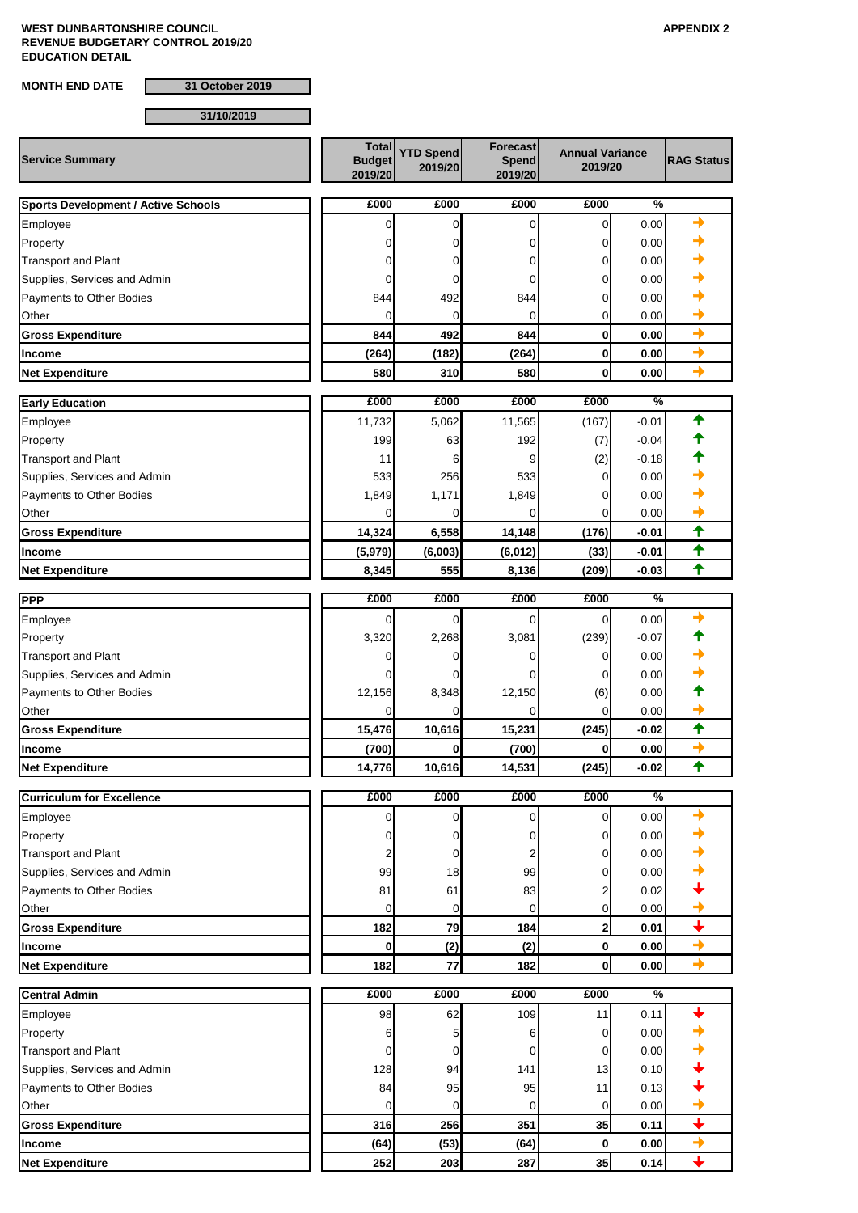**MONTH END DATE 31 October 2019**

**31/10/2019**

| <b>Service Summary</b>                     | <b>Total</b><br><b>Budget</b><br>2019/20 | <b>YTD Spend</b><br>2019/20 | Forecast<br><b>Spend</b><br>2019/20 | <b>Annual Variance</b><br>2019/20 |              | <b>RAG Status</b>        |
|--------------------------------------------|------------------------------------------|-----------------------------|-------------------------------------|-----------------------------------|--------------|--------------------------|
| <b>Sports Development / Active Schools</b> | £000                                     | £000                        | £000                                | £000                              | %            |                          |
| Employee                                   | 0                                        | 0                           | 0                                   | $\mathbf 0$                       | 0.00         | →                        |
| Property                                   | 0                                        | 0                           | 0                                   | 0                                 | 0.00         |                          |
| <b>Transport and Plant</b>                 | 0                                        | 0                           | 0                                   | 0                                 | 0.00         |                          |
| Supplies, Services and Admin               | 0                                        | 0                           | 0                                   | 0                                 | 0.00         |                          |
| Payments to Other Bodies                   | 844                                      | 492                         | 844                                 | 0                                 | 0.00         |                          |
| Other                                      | 0                                        | 0                           | 0                                   | 0                                 | 0.00         |                          |
| <b>Gross Expenditure</b>                   | 844                                      | 492                         | 844                                 | $\bf{0}$                          | 0.00         | $\rightarrow$            |
| <b>Income</b>                              | (264)                                    | (182)                       | (264)                               | $\bf{0}$                          | 0.00         | $\rightarrow$            |
| <b>Net Expenditure</b>                     | 580                                      | 310                         | 580                                 | $\bf{0}$                          | 0.00         | $\rightarrow$            |
|                                            | £000                                     | £000                        | £000                                | £000                              | %            |                          |
| <b>Early Education</b>                     |                                          |                             |                                     |                                   | $-0.01$      | ✦                        |
| Employee                                   | 11,732<br>199                            | 5,062<br>63                 | 11,565<br>192                       | (167)                             | $-0.04$      |                          |
| Property<br><b>Transport and Plant</b>     | 11                                       | 6                           | 9                                   | (7)<br>(2)                        | $-0.18$      |                          |
| Supplies, Services and Admin               | 533                                      | 256                         | 533                                 | 0                                 | 0.00         |                          |
| Payments to Other Bodies                   | 1,849                                    | 1,171                       | 1,849                               | 0                                 | 0.00         |                          |
| Other                                      | ი                                        | 0                           | 0                                   | 0                                 | 0.00         |                          |
| <b>Gross Expenditure</b>                   | 14,324                                   | 6,558                       | 14,148                              | (176)                             | $-0.01$      | ✦                        |
| <b>Income</b>                              | (5,979)                                  | (6,003)                     | (6, 012)                            | (33)                              | $-0.01$      | ✦                        |
| <b>Net Expenditure</b>                     | 8,345                                    | 555                         | 8,136                               | (209)                             | $-0.03$      | $\ddot{\textbf{t}}$      |
|                                            |                                          |                             |                                     |                                   |              |                          |
| <b>PPP</b>                                 | £000                                     | £000                        | £000                                | £000                              | %            |                          |
| Employee                                   | 0                                        | 0                           | 0                                   | $\Omega$                          | 0.00         |                          |
| Property                                   | 3,320                                    | 2,268                       | 3,081                               | (239)                             | $-0.07$      |                          |
| <b>Transport and Plant</b>                 | 0                                        | 0                           | 0                                   | 0                                 | 0.00         |                          |
| Supplies, Services and Admin               | 0<br>12,156                              | 0<br>8,348                  | 0                                   | 0                                 | 0.00<br>0.00 |                          |
| Payments to Other Bodies<br>Other          | 0                                        | 0                           | 12,150<br>0                         | (6)<br>$\Omega$                   | 0.00         |                          |
| <b>Gross Expenditure</b>                   | 15,476                                   | 10,616                      | 15,231                              | (245)                             | $-0.02$      | ✦                        |
| <b>Income</b>                              | (700)                                    | 0                           | (700)                               | 0                                 | 0.00         | $\rightarrow$            |
| <b>Net Expenditure</b>                     | 14,776                                   | 10,616                      | 14,531                              | (245)                             | $-0.02$      | ✦                        |
|                                            |                                          |                             |                                     |                                   |              |                          |
| <b>Curriculum for Excellence</b>           | £000                                     | £000                        | £000                                | £000                              | %            |                          |
| Employee                                   | 0                                        | 0                           | 0                                   | 0                                 | 0.00         | +                        |
| Property                                   | 0                                        | 0                           | 0                                   | 0                                 | 0.00         |                          |
| <b>Transport and Plant</b>                 | 2                                        | 0                           | 2                                   | 0                                 | 0.00         |                          |
| Supplies, Services and Admin               | 99                                       | 18                          | 99                                  | 0                                 | 0.00         |                          |
| Payments to Other Bodies                   | 81                                       | 61                          | 83                                  | 2                                 | 0.02         |                          |
| Other                                      | 0                                        | 0<br>79                     | 0<br>184                            | 0                                 | 0.00         | $\ddotmark$              |
| <b>Gross Expenditure</b>                   | 182<br>0                                 |                             |                                     | 2                                 | 0.01         | $\rightarrow$            |
| <b>Income</b><br><b>Net Expenditure</b>    |                                          | (2)<br>77                   | (2)<br>182                          | 0<br>$\mathbf 0$                  | 0.00         | $\rightarrow$            |
|                                            | 182                                      |                             |                                     |                                   | 0.00         |                          |
| <b>Central Admin</b>                       | £000                                     | £000                        | £000                                | £000                              | %            |                          |
| Employee                                   | 98                                       | 62                          | 109                                 | 11                                | 0.11         |                          |
| Property                                   | 6                                        | 5                           | 6                                   | 0                                 | 0.00         |                          |
| <b>Transport and Plant</b>                 | 0                                        | 0                           | 0                                   | 0                                 | 0.00         |                          |
| Supplies, Services and Admin               | 128                                      | 94                          | 141                                 | 13                                | 0.10         |                          |
| Payments to Other Bodies                   | 84                                       | 95                          | 95                                  | 11                                | 0.13         |                          |
| Other                                      | 0                                        | 0                           | 0                                   | 0                                 | 0.00         |                          |
| <b>Gross Expenditure</b>                   | 316                                      | 256                         | 351                                 | 35                                | 0.11         | $\overline{\phantom{0}}$ |
| <b>Income</b>                              | (64)                                     | (53)                        | (64)                                | $\mathbf 0$                       | 0.00         | $\rightarrow$            |
| <b>Net Expenditure</b>                     | 252                                      | 203                         | 287                                 | 35                                | 0.14         | $\ddotmark$              |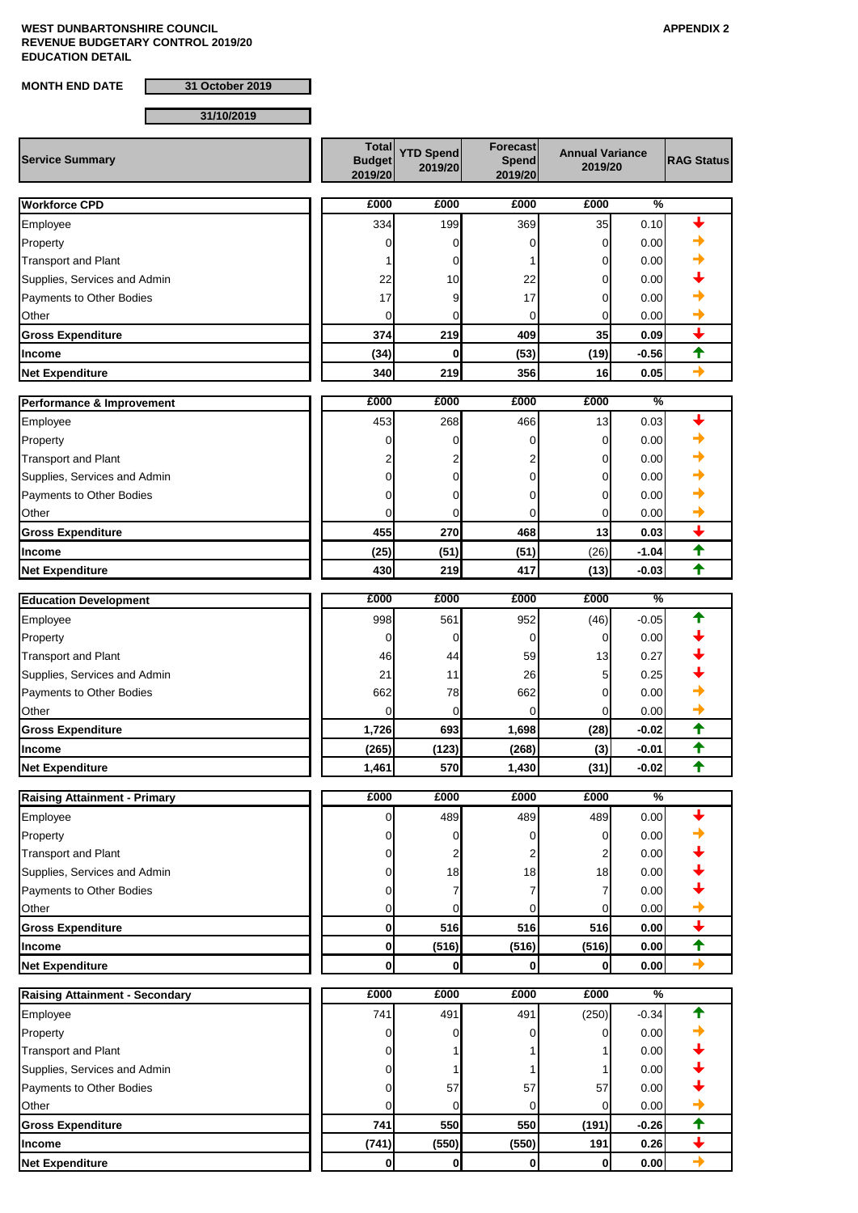**MONTH END DATE 31 October 2019**

**31/10/2019**

| <b>Service Summary</b>                | <b>Total</b><br><b>Budget</b><br>2019/20 | <b>YTD Spend</b><br>2019/20 | <b>Forecast</b><br><b>Spend</b><br>2019/20 | <b>Annual Variance</b><br>2019/20 |                    | <b>RAG Status</b>        |
|---------------------------------------|------------------------------------------|-----------------------------|--------------------------------------------|-----------------------------------|--------------------|--------------------------|
| <b>Workforce CPD</b>                  | £000                                     | £000                        | £000                                       | £000                              | %                  |                          |
| Employee                              | 334                                      | 199                         | 369                                        | 35                                | 0.10               |                          |
| Property                              | 0                                        | 0                           | 0                                          | 0                                 | 0.00               |                          |
| <b>Transport and Plant</b>            |                                          | 0                           |                                            | 0                                 | 0.00               |                          |
| Supplies, Services and Admin          | 22                                       | 10                          | 22                                         | 0                                 | 0.00               |                          |
| Payments to Other Bodies              | 17                                       | 9                           | 17                                         | 0                                 | 0.00               |                          |
| Other                                 | 0                                        | 0                           | 0                                          | 0                                 | 0.00               |                          |
| <b>Gross Expenditure</b>              | 374                                      | 219                         | 409                                        | 35                                | 0.09               | ↓                        |
| Income                                | (34)                                     | $\bf{0}$                    | (53)                                       | (19)                              | $-0.56$            | ✦                        |
| <b>Net Expenditure</b>                | 340                                      | 219                         | 356                                        | 16                                | 0.05               | →                        |
|                                       | £000                                     | £000                        | £000                                       | £000                              | %                  |                          |
| Performance & Improvement             |                                          |                             |                                            |                                   |                    |                          |
| Employee                              | 453                                      | 268                         | 466                                        | 13                                | 0.03               |                          |
| Property                              | 0                                        | 0                           | 0                                          | 0                                 | 0.00               |                          |
| <b>Transport and Plant</b>            |                                          | 0                           | 2<br>0                                     | 0                                 | 0.00               |                          |
| Supplies, Services and Admin          |                                          |                             |                                            | 0                                 | 0.00               |                          |
| Payments to Other Bodies              |                                          | 0<br>O                      | 0<br>$\Omega$                              | 0<br>0                            | 0.00<br>0.00       |                          |
| Other                                 |                                          | 270                         | 468                                        | 13                                |                    | ↓                        |
| <b>Gross Expenditure</b>              | 455                                      |                             |                                            | (26)                              | 0.03               | ✦                        |
| Income<br><b>Net Expenditure</b>      | (25)<br>430                              | (51)<br>219                 | (51)<br>417                                | (13)                              | $-1.04$<br>$-0.03$ | ✦                        |
|                                       |                                          |                             |                                            |                                   |                    |                          |
| <b>Education Development</b>          | £000                                     | £000                        | £000                                       | £000                              | %                  |                          |
| Employee                              | 998                                      | 561                         | 952                                        | (46)                              | $-0.05$            |                          |
| Property                              | 0                                        | 0                           | 0                                          | 0                                 | 0.00               |                          |
| <b>Transport and Plant</b>            | 46                                       | 44                          | 59                                         | 13                                | 0.27               |                          |
| Supplies, Services and Admin          | 21                                       | 11                          | 26                                         | 5                                 | 0.25               |                          |
| Payments to Other Bodies              | 662                                      | 78                          | 662                                        | 0                                 | 0.00               |                          |
| Other                                 | 0                                        | $\mathbf 0$                 | 0                                          | 0                                 | 0.00               |                          |
| <b>Gross Expenditure</b>              | 1,726                                    | 693                         | 1,698                                      | (28)                              | $-0.02$            | ✦                        |
| <b>Income</b>                         | (265)                                    | (123)                       | (268)                                      | (3)                               | $-0.01$            | ✦                        |
| <b>Net Expenditure</b>                | 1,461                                    | 570                         | 1,430                                      | (31)                              | $-0.02$            | $\ddot{\textbf{t}}$      |
| <b>Raising Attainment - Primary</b>   | £000                                     | £000                        | £000                                       | £000                              | $\frac{9}{6}$      |                          |
| Employee                              | 0                                        | 489                         | 489                                        | 489                               | 0.00               |                          |
| Property                              | O                                        | 0                           | 0                                          | 0                                 | 0.00               |                          |
| <b>Transport and Plant</b>            | 0                                        | 2                           | 2                                          | 2                                 | 0.00               |                          |
| Supplies, Services and Admin          | 0                                        | 18                          | 18                                         | 18                                | 0.00               |                          |
| Payments to Other Bodies              | 0                                        | 7                           | 7                                          |                                   | 0.00               |                          |
| Other                                 | 0                                        | 0                           | 0                                          | 0                                 | 0.00               |                          |
| <b>Gross Expenditure</b>              | 0                                        | 516                         | 516                                        | 516                               | 0.00               | $\overline{\phantom{0}}$ |
| Income                                | 0                                        | (516)                       | (516)                                      | (516)                             | 0.00               | $\blacklozenge$          |
| <b>Net Expenditure</b>                | 0                                        | $\mathbf 0$                 | $\mathbf 0$                                | 0                                 | 0.00               | $\rightarrow$            |
| <b>Raising Attainment - Secondary</b> | £000                                     | £000                        | £000                                       | £000                              | %                  |                          |
| Employee                              | 741                                      | 491                         | 491                                        | (250)                             | $-0.34$            |                          |
| Property                              | 0                                        | 0                           | 0                                          | 0                                 | 0.00               |                          |
| <b>Transport and Plant</b>            | 0                                        |                             |                                            |                                   | 0.00               |                          |
| Supplies, Services and Admin          | o                                        |                             | 1                                          |                                   | 0.00               |                          |
| Payments to Other Bodies              |                                          | 57                          | 57                                         | 57                                | 0.00               |                          |
| Other                                 | 0                                        | 0                           | 0                                          | $\Omega$                          | 0.00               |                          |
| <b>Gross Expenditure</b>              | 741                                      | 550                         | 550                                        | (191)                             | $-0.26$            | $\ddagger$               |
| Income                                | (741)                                    | (550)                       | (550)                                      | 191                               | 0.26               | $\overline{\mathbf{t}}$  |
| <b>Net Expenditure</b>                | $\mathbf 0$                              | $\mathbf{0}$                | $\mathbf{0}$                               | 0                                 | 0.00               | $\rightarrow$            |